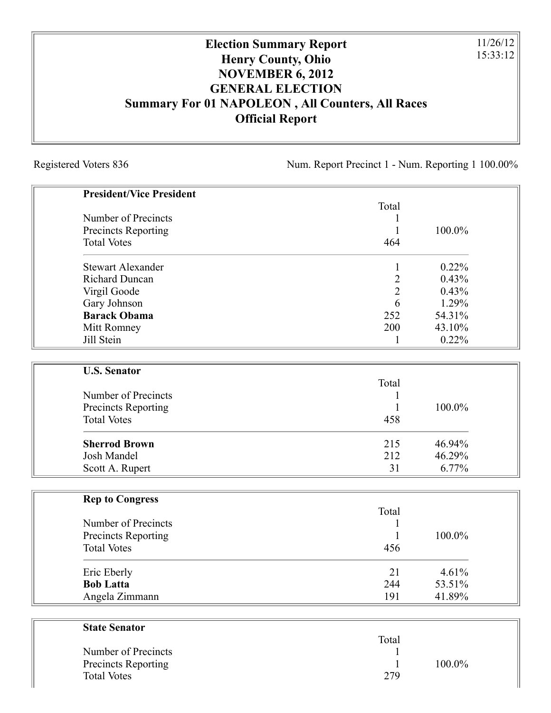## **Election Summary Report Henry County, Ohio NOVEMBER 6, 2012 GENERAL ELECTION Summary For 01 NAPOLEON , All Counters, All Races Official Report**

Registered Voters 836 Num. Report Precinct 1 - Num. Reporting 1 100.00%

11/26/12 15:33:12

| <b>President/Vice President</b>                  |                |        |
|--------------------------------------------------|----------------|--------|
|                                                  | Total          |        |
| Number of Precincts                              | 1              |        |
| <b>Precincts Reporting</b>                       | 1              | 100.0% |
| <b>Total Votes</b>                               | 464            |        |
| <b>Stewart Alexander</b>                         |                | 0.22%  |
| <b>Richard Duncan</b>                            | 1              | 0.43%  |
|                                                  | $\overline{2}$ |        |
| Virgil Goode                                     | $\overline{2}$ | 0.43%  |
| Gary Johnson                                     | 6              | 1.29%  |
| <b>Barack Obama</b>                              | 252            | 54.31% |
| Mitt Romney                                      | 200            | 43.10% |
| Jill Stein                                       | 1              | 0.22%  |
| <b>U.S. Senator</b>                              |                |        |
|                                                  | Total          |        |
| Number of Precincts                              |                |        |
|                                                  | 1<br>1         | 100.0% |
| <b>Precincts Reporting</b><br><b>Total Votes</b> | 458            |        |
|                                                  |                |        |
| <b>Sherrod Brown</b>                             | 215            | 46.94% |
| <b>Josh Mandel</b>                               | 212            | 46.29% |
| Scott A. Rupert                                  | 31             | 6.77%  |
|                                                  |                |        |
| <b>Rep to Congress</b>                           |                |        |
|                                                  | Total          |        |
| Number of Precincts                              | 1              |        |
| <b>Precincts Reporting</b>                       | $\mathbf{1}$   | 100.0% |
| <b>Total Votes</b>                               | 456            |        |
| Eric Eberly                                      | 21             | 4.61%  |
| <b>Bob Latta</b>                                 | 244            | 53.51% |
| Angela Zimmann                                   | 191            | 41.89% |
|                                                  |                |        |
| <b>State Senator</b>                             |                |        |
|                                                  | Total          |        |

Number of Precincts 1

Total Votes 279

Precincts Reporting 1 100.0%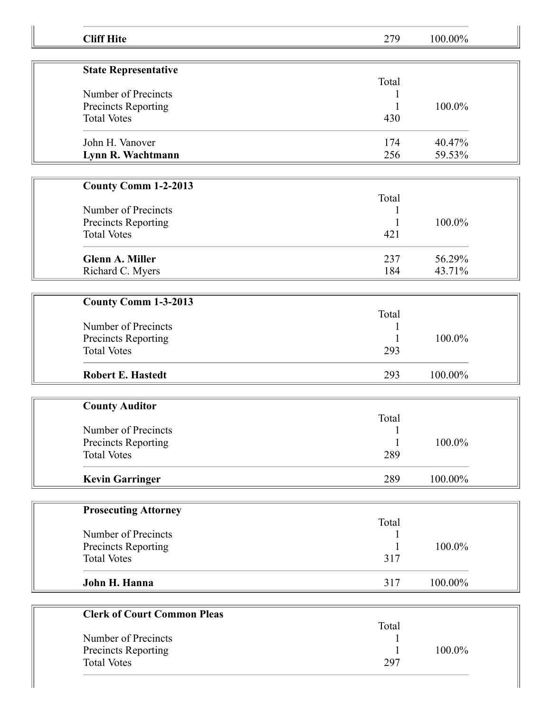| <b>Cliff Hite</b>                  | 279          | 100.00% |  |
|------------------------------------|--------------|---------|--|
|                                    |              |         |  |
| <b>State Representative</b>        | Total        |         |  |
| Number of Precincts                |              |         |  |
| Precincts Reporting                |              | 100.0%  |  |
| <b>Total Votes</b>                 | 430          |         |  |
| John H. Vanover                    | 174          | 40.47%  |  |
| Lynn R. Wachtmann                  | 256          | 59.53%  |  |
| <b>County Comm 1-2-2013</b>        |              |         |  |
|                                    | Total        |         |  |
| Number of Precincts                | 1            |         |  |
| Precincts Reporting                | 1            | 100.0%  |  |
| <b>Total Votes</b>                 | 421          |         |  |
| <b>Glenn A. Miller</b>             | 237          | 56.29%  |  |
| Richard C. Myers                   | 184          | 43.71%  |  |
|                                    |              |         |  |
| County Comm 1-3-2013               |              |         |  |
|                                    | Total        |         |  |
| Number of Precincts                |              |         |  |
| Precincts Reporting                |              | 100.0%  |  |
| <b>Total Votes</b>                 | 293          |         |  |
| <b>Robert E. Hastedt</b>           | 293          | 100.00% |  |
|                                    |              |         |  |
| <b>County Auditor</b>              | Total        |         |  |
| Number of Precincts                | $\mathbf{1}$ |         |  |
| Precincts Reporting                | 1            | 100.0%  |  |
| <b>Total Votes</b>                 | 289          |         |  |
|                                    |              |         |  |
| <b>Kevin Garringer</b>             | 289          | 100.00% |  |
|                                    |              |         |  |
| <b>Prosecuting Attorney</b>        | Total        |         |  |
| Number of Precincts                |              |         |  |
| Precincts Reporting                |              | 100.0%  |  |
| <b>Total Votes</b>                 | 317          |         |  |
|                                    |              |         |  |
| John H. Hanna                      | 317          | 100.00% |  |
|                                    |              |         |  |
| <b>Clerk of Court Common Pleas</b> | Total        |         |  |
| Number of Precincts                |              |         |  |
| Precincts Reporting                |              | 100.0%  |  |
| <b>Total Votes</b>                 | 297          |         |  |
|                                    |              |         |  |
|                                    |              |         |  |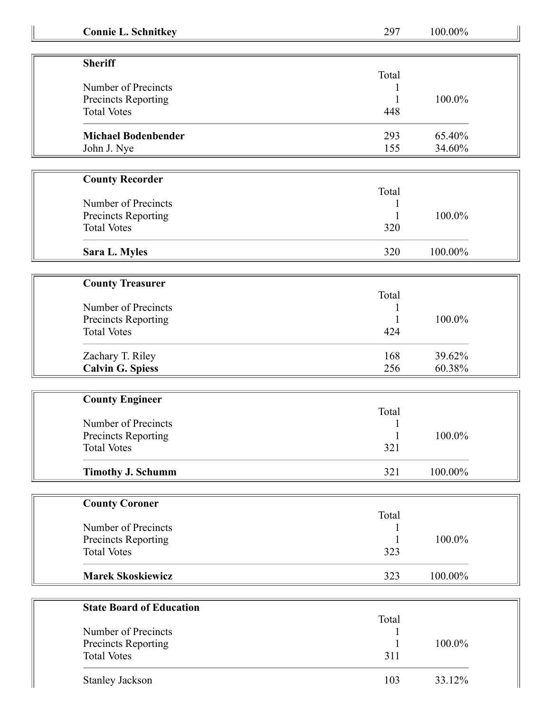| <b>Connie L. Schnitkey</b> |  |
|----------------------------|--|
|                            |  |

**Connie L. Schnitkey** 297 100.00%

| <b>Sheriff</b>             |       |        |
|----------------------------|-------|--------|
|                            | Total |        |
| Number of Precincts        |       |        |
| Precincts Reporting        |       | 100.0% |
| <b>Total Votes</b>         | 448   |        |
| <b>Michael Bodenbender</b> | 293   | 65.40% |
| John J. Nye                | 155   | 34.60% |

| <b>County Recorder</b> |       |         |
|------------------------|-------|---------|
|                        | Total |         |
| Number of Precincts    |       |         |
| Precincts Reporting    |       | 100.0%  |
| <b>Total Votes</b>     | 320   |         |
| Sara L. Myles          | 320   | 100.00% |

| <b>County Treasurer</b>    |       |        |
|----------------------------|-------|--------|
| Number of Precincts        | Total |        |
| <b>Precincts Reporting</b> |       | 100.0% |
| <b>Total Votes</b>         | 424   |        |
| Zachary T. Riley           | 168   | 39.62% |
| <b>Calvin G. Spiess</b>    | 256   | 60.38% |

| <b>County Engineer</b>   |       |         |
|--------------------------|-------|---------|
|                          | Total |         |
| Number of Precincts      |       |         |
| Precincts Reporting      |       | 100.0%  |
| <b>Total Votes</b>       | 321   |         |
| <b>Timothy J. Schumm</b> | 321   | 100.00% |

| <b>County Coroner</b>    |       |         |
|--------------------------|-------|---------|
|                          | Total |         |
| Number of Precincts      |       |         |
| Precincts Reporting      |       | 100.0%  |
| <b>Total Votes</b>       | 323   |         |
| <b>Marek Skoskiewicz</b> | 323   | 100.00% |

| <b>State Board of Education</b> |       |        |
|---------------------------------|-------|--------|
|                                 | Total |        |
| Number of Precincts             |       |        |
| Precincts Reporting             |       | 100.0% |
| <b>Total Votes</b>              | 311   |        |
| <b>Stanley Jackson</b>          | 103   | 33.12% |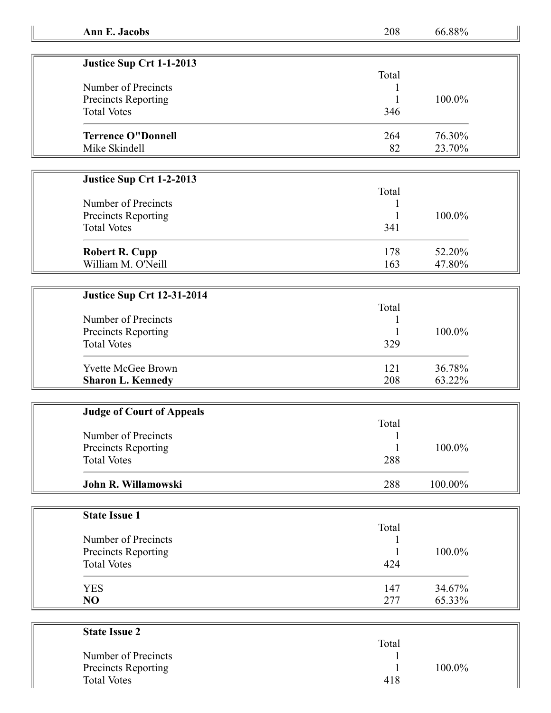| <b>Ann E. Jacobs</b>              | 208   | 66.88%  |  |
|-----------------------------------|-------|---------|--|
|                                   |       |         |  |
| Justice Sup Crt 1-1-2013          |       |         |  |
|                                   | Total |         |  |
| Number of Precincts               |       |         |  |
| Precincts Reporting               |       | 100.0%  |  |
| <b>Total Votes</b>                | 346   |         |  |
|                                   |       |         |  |
| <b>Terrence O"Donnell</b>         | 264   | 76.30%  |  |
| Mike Skindell                     | 82    | 23.70%  |  |
|                                   |       |         |  |
|                                   |       |         |  |
| Justice Sup Crt 1-2-2013          |       |         |  |
|                                   | Total |         |  |
| Number of Precincts               |       |         |  |
| Precincts Reporting               | 1     | 100.0%  |  |
| <b>Total Votes</b>                | 341   |         |  |
|                                   |       |         |  |
| <b>Robert R. Cupp</b>             | 178   | 52.20%  |  |
| William M. O'Neill                | 163   | 47.80%  |  |
|                                   |       |         |  |
| <b>Justice Sup Crt 12-31-2014</b> |       |         |  |
|                                   | Total |         |  |
| Number of Precincts               |       |         |  |
| Precincts Reporting               |       | 100.0%  |  |
| <b>Total Votes</b>                | 329   |         |  |
|                                   |       |         |  |
| <b>Yvette McGee Brown</b>         | 121   | 36.78%  |  |
| <b>Sharon L. Kennedy</b>          | 208   | 63.22%  |  |
|                                   |       |         |  |
|                                   |       |         |  |
| <b>Judge of Court of Appeals</b>  | Total |         |  |
| Number of Precincts               |       |         |  |
|                                   |       |         |  |
| Precincts Reporting               |       | 100.0%  |  |
| <b>Total Votes</b>                | 288   |         |  |
| John R. Willamowski               | 288   | 100.00% |  |
|                                   |       |         |  |
|                                   |       |         |  |
| <b>State Issue 1</b>              |       |         |  |
|                                   | Total |         |  |
| Number of Precincts               |       |         |  |
| Precincts Reporting               |       | 100.0%  |  |
| <b>Total Votes</b>                | 424   |         |  |
|                                   |       |         |  |
| <b>YES</b>                        | 147   | 34.67%  |  |
| NO                                | 277   | 65.33%  |  |
|                                   |       |         |  |
| <b>State Issue 2</b>              |       |         |  |
|                                   | Total |         |  |
| Number of Precincts               |       |         |  |
| Precincts Reporting               |       | 100.0%  |  |

Total Votes 418

 $\begin{array}{ccc} 1 & 100.0\% \\ 418 & \end{array}$